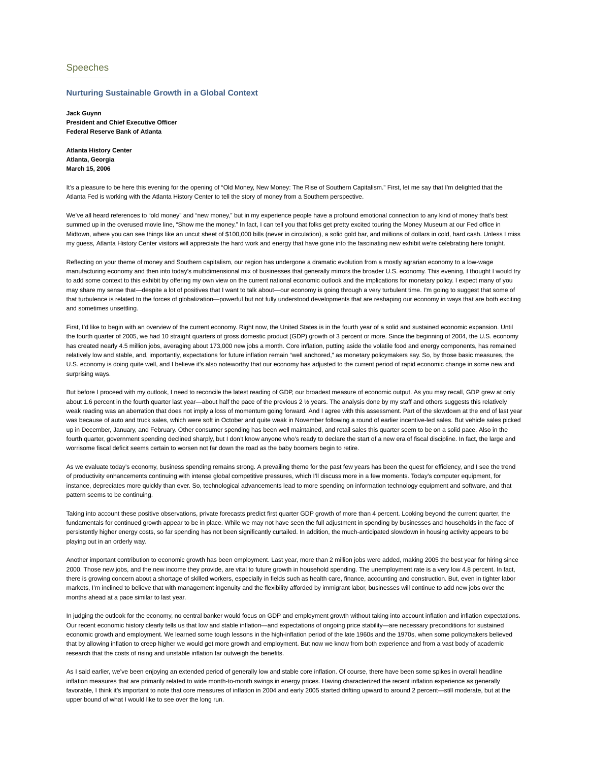# Speeches

### **Nurturing Sustainable Growth in a Global Context**

**Jack Guynn President and Chief Executive Officer Federal Reserve Bank of Atlanta**

**Atlanta History Center Atlanta, Georgia March 15, 2006**

It's a pleasure to be here this evening for the opening of "Old Money, New Money: The Rise of Southern Capitalism." First, let me say that I'm delighted that the Atlanta Fed is working with the Atlanta History Center to tell the story of money from a Southern perspective.

We've all heard references to "old money" and "new money," but in my experience people have a profound emotional connection to any kind of money that's best summed up in the overused movie line, "Show me the money." In fact, I can tell you that folks get pretty excited touring the Money Museum at our Fed office in Midtown, where you can see things like an uncut sheet of \$100,000 bills (never in circulation), a solid gold bar, and millions of dollars in cold, hard cash. Unless I miss my guess, Atlanta History Center visitors will appreciate the hard work and energy that have gone into the fascinating new exhibit we're celebrating here tonight.

Reflecting on your theme of money and Southern capitalism, our region has undergone a dramatic evolution from a mostly agrarian economy to a low-wage manufacturing economy and then into today's multidimensional mix of businesses that generally mirrors the broader U.S. economy. This evening, I thought I would try to add some context to this exhibit by offering my own view on the current national economic outlook and the implications for monetary policy. I expect many of you may share my sense that—despite a lot of positives that I want to talk about—our economy is going through a very turbulent time. I'm going to suggest that some of that turbulence is related to the forces of globalization—powerful but not fully understood developments that are reshaping our economy in ways that are both exciting and sometimes unsettling.

First, I'd like to begin with an overview of the current economy. Right now, the United States is in the fourth year of a solid and sustained economic expansion. Until the fourth quarter of 2005, we had 10 straight quarters of gross domestic product (GDP) growth of 3 percent or more. Since the beginning of 2004, the U.S. economy has created nearly 4.5 million jobs, averaging about 173,000 new jobs a month. Core inflation, putting aside the volatile food and energy components, has remained relatively low and stable, and, importantly, expectations for future inflation remain "well anchored," as monetary policymakers say. So, by those basic measures, the U.S. economy is doing quite well, and I believe it's also noteworthy that our economy has adjusted to the current period of rapid economic change in some new and surprising ways.

But before I proceed with my outlook, I need to reconcile the latest reading of GDP, our broadest measure of economic output. As you may recall, GDP grew at only about 1.6 percent in the fourth quarter last year—about half the pace of the previous 2 ½ years. The analysis done by my staff and others suggests this relatively weak reading was an aberration that does not imply a loss of momentum going forward. And I agree with this assessment. Part of the slowdown at the end of last year was because of auto and truck sales, which were soft in October and quite weak in November following a round of earlier incentive-led sales. But vehicle sales picked up in December, January, and February. Other consumer spending has been well maintained, and retail sales this quarter seem to be on a solid pace. Also in the fourth quarter, government spending declined sharply, but I don't know anyone who's ready to declare the start of a new era of fiscal discipline. In fact, the large and worrisome fiscal deficit seems certain to worsen not far down the road as the baby boomers begin to retire.

As we evaluate today's economy, business spending remains strong. A prevailing theme for the past few years has been the quest for efficiency, and I see the trend of productivity enhancements continuing with intense global competitive pressures, which I'll discuss more in a few moments. Today's computer equipment, for instance, depreciates more quickly than ever. So, technological advancements lead to more spending on information technology equipment and software, and that pattern seems to be continuing.

Taking into account these positive observations, private forecasts predict first quarter GDP growth of more than 4 percent. Looking beyond the current quarter, the fundamentals for continued growth appear to be in place. While we may not have seen the full adjustment in spending by businesses and households in the face of persistently higher energy costs, so far spending has not been significantly curtailed. In addition, the much-anticipated slowdown in housing activity appears to be playing out in an orderly way.

Another important contribution to economic growth has been employment. Last year, more than 2 million jobs were added, making 2005 the best year for hiring since 2000. Those new jobs, and the new income they provide, are vital to future growth in household spending. The unemployment rate is a very low 4.8 percent. In fact, there is growing concern about a shortage of skilled workers, especially in fields such as health care, finance, accounting and construction. But, even in tighter labor markets, I'm inclined to believe that with management ingenuity and the flexibility afforded by immigrant labor, businesses will continue to add new jobs over the months ahead at a pace similar to last year.

In judging the outlook for the economy, no central banker would focus on GDP and employment growth without taking into account inflation and inflation expectations. Our recent economic history clearly tells us that low and stable inflation—and expectations of ongoing price stability—are necessary preconditions for sustained economic growth and employment. We learned some tough lessons in the high-inflation period of the late 1960s and the 1970s, when some policymakers believed that by allowing inflation to creep higher we would get more growth and employment. But now we know from both experience and from a vast body of academic research that the costs of rising and unstable inflation far outweigh the benefits.

As I said earlier, we've been enjoying an extended period of generally low and stable core inflation. Of course, there have been some spikes in overall headline inflation measures that are primarily related to wide month-to-month swings in energy prices. Having characterized the recent inflation experience as generally favorable, I think it's important to note that core measures of inflation in 2004 and early 2005 started drifting upward to around 2 percent—still moderate, but at the upper bound of what I would like to see over the long run.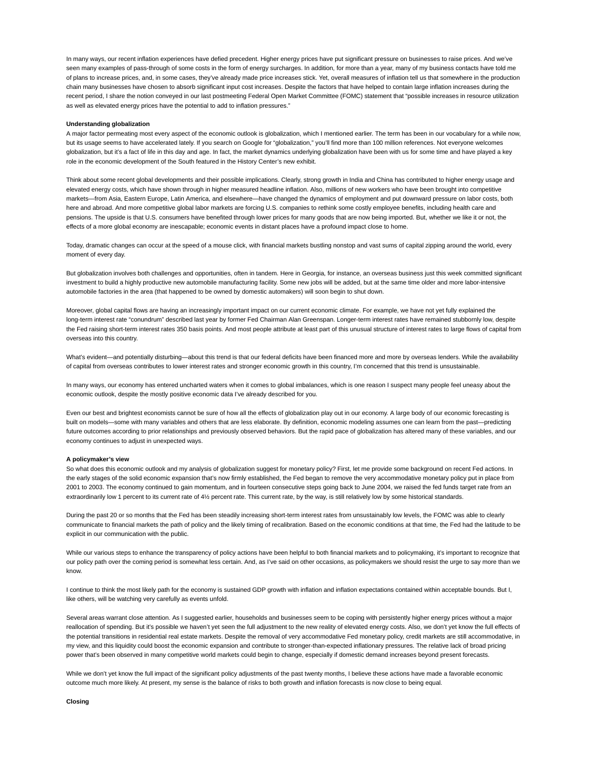In many ways, our recent inflation experiences have defied precedent. Higher energy prices have put significant pressure on businesses to raise prices. And we've seen many examples of pass-through of some costs in the form of energy surcharges. In addition, for more than a year, many of my business contacts have told me of plans to increase prices, and, in some cases, they've already made price increases stick. Yet, overall measures of inflation tell us that somewhere in the production chain many businesses have chosen to absorb significant input cost increases. Despite the factors that have helped to contain large inflation increases during the recent period, I share the notion conveyed in our last postmeeting Federal Open Market Committee (FOMC) statement that "possible increases in resource utilization as well as elevated energy prices have the potential to add to inflation pressures."

#### **Understanding globalization**

A major factor permeating most every aspect of the economic outlook is globalization, which I mentioned earlier. The term has been in our vocabulary for a while now, but its usage seems to have accelerated lately. If you search on Google for "globalization," you'll find more than 100 million references. Not everyone welcomes globalization, but it's a fact of life in this day and age. In fact, the market dynamics underlying globalization have been with us for some time and have played a key role in the economic development of the South featured in the History Center's new exhibit.

Think about some recent global developments and their possible implications. Clearly, strong growth in India and China has contributed to higher energy usage and elevated energy costs, which have shown through in higher measured headline inflation. Also, millions of new workers who have been brought into competitive markets—from Asia, Eastern Europe, Latin America, and elsewhere—have changed the dynamics of employment and put downward pressure on labor costs, both here and abroad. And more competitive global labor markets are forcing U.S. companies to rethink some costly employee benefits, including health care and pensions. The upside is that U.S. consumers have benefited through lower prices for many goods that are now being imported. But, whether we like it or not, the effects of a more global economy are inescapable; economic events in distant places have a profound impact close to home.

Today, dramatic changes can occur at the speed of a mouse click, with financial markets bustling nonstop and vast sums of capital zipping around the world, every moment of every day.

But globalization involves both challenges and opportunities, often in tandem. Here in Georgia, for instance, an overseas business just this week committed significant investment to build a highly productive new automobile manufacturing facility. Some new jobs will be added, but at the same time older and more labor-intensive automobile factories in the area (that happened to be owned by domestic automakers) will soon begin to shut down.

Moreover, global capital flows are having an increasingly important impact on our current economic climate. For example, we have not yet fully explained the long-term interest rate "conundrum" described last year by former Fed Chairman Alan Greenspan. Longer-term interest rates have remained stubbornly low, despite the Fed raising short-term interest rates 350 basis points. And most people attribute at least part of this unusual structure of interest rates to large flows of capital from overseas into this country.

What's evident—and potentially disturbing—about this trend is that our federal deficits have been financed more and more by overseas lenders. While the availability of capital from overseas contributes to lower interest rates and stronger economic growth in this country, I'm concerned that this trend is unsustainable.

In many ways, our economy has entered uncharted waters when it comes to global imbalances, which is one reason I suspect many people feel uneasy about the economic outlook, despite the mostly positive economic data I've already described for you.

Even our best and brightest economists cannot be sure of how all the effects of globalization play out in our economy. A large body of our economic forecasting is built on models—some with many variables and others that are less elaborate. By definition, economic modeling assumes one can learn from the past—predicting future outcomes according to prior relationships and previously observed behaviors. But the rapid pace of globalization has altered many of these variables, and our economy continues to adjust in unexpected ways.

#### **A policymaker's view**

So what does this economic outlook and my analysis of globalization suggest for monetary policy? First, let me provide some background on recent Fed actions. In the early stages of the solid economic expansion that's now firmly established, the Fed began to remove the very accommodative monetary policy put in place from 2001 to 2003. The economy continued to gain momentum, and in fourteen consecutive steps going back to June 2004, we raised the fed funds target rate from an extraordinarily low 1 percent to its current rate of 41/2 percent rate. This current rate, by the way, is still relatively low by some historical standards.

During the past 20 or so months that the Fed has been steadily increasing short-term interest rates from unsustainably low levels, the FOMC was able to clearly communicate to financial markets the path of policy and the likely timing of recalibration. Based on the economic conditions at that time, the Fed had the latitude to be explicit in our communication with the public.

While our various steps to enhance the transparency of policy actions have been helpful to both financial markets and to policymaking, it's important to recognize that our policy path over the coming period is somewhat less certain. And, as I've said on other occasions, as policymakers we should resist the urge to say more than we know.

I continue to think the most likely path for the economy is sustained GDP growth with inflation and inflation expectations contained within acceptable bounds. But I, like others, will be watching very carefully as events unfold.

Several areas warrant close attention. As I suggested earlier, households and businesses seem to be coping with persistently higher energy prices without a major reallocation of spending. But it's possible we haven't yet seen the full adjustment to the new reality of elevated energy costs. Also, we don't yet know the full effects of the potential transitions in residential real estate markets. Despite the removal of very accommodative Fed monetary policy, credit markets are still accommodative, in my view, and this liquidity could boost the economic expansion and contribute to stronger-than-expected inflationary pressures. The relative lack of broad pricing power that's been observed in many competitive world markets could begin to change, especially if domestic demand increases beyond present forecasts.

While we don't yet know the full impact of the significant policy adjustments of the past twenty months, I believe these actions have made a favorable economic outcome much more likely. At present, my sense is the balance of risks to both growth and inflation forecasts is now close to being equal.

#### **Closing**